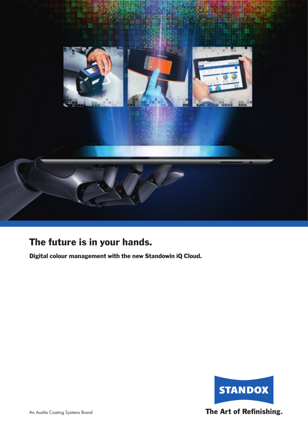

# The future is in your hands.

Digital colour management with the new Standowin iQ Cloud.

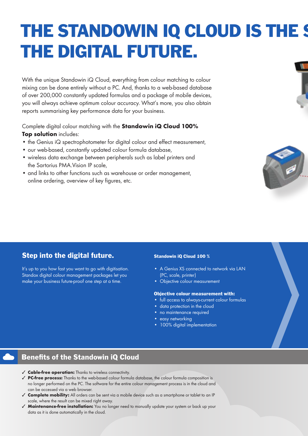# THE STANDOWIN IQ CLOUD IS THE S THE DIGITAL FUTURE.

With the unique Standowin iQ Cloud, everything from colour matching to colour mixing can be done entirely without a PC. And, thanks to a web-based database of over 200,000 constantly updated formulas and a package of mobile devices, you will always achieve optimum colour accuracy. What's more, you also obtain reports summarising key performance data for your business.

Complete digital colour matching with the **Standowin iQ Cloud 100% Top solution** includes:

- the Genius iQ spectrophotometer for digital colour and effect measurement,
- our web-based, constantly updated colour formula database,
- wireless data exchange between peripherals such as label printers and the Sartorius PMA.Vision IP scale,
- and links to other functions such as warehouse or order management, online ordering, overview of key figures, etc.





## Step into the digital future.

It's up to you how fast you want to go with digitisation. Standox digital colour management packages let you make your business future-proof one step at a time.

#### Standowin iQ Cloud 100 %

- A Genius XS connected to network via LAN (PC, scale, printer)
- Objective colour measurement

#### Objective colour measurement with:

- full access to always-current colour formulas
- data protection in the cloud
- no maintenance required
- easy networking
- 100% digital implementation

### Benefits of the Standowin iQ Cloud

- ✓ **Cable-free operation:** Thanks to wireless connectivity.
- ✓ **PC-free process:** Thanks to the web-based colour formula database, the colour formula composition is no longer performed on the PC. The software for the entire colour management process is in the cloud and can be accessed via a web browser.
- ✓ **Complete mobility:** All orders can be sent via a mobile device such as a smartphone or tablet to an IP scale, where the result can be mixed right away.
- ✓ **Maintenance-free installation:** You no longer need to manually update your system or back up your data as it is done automatically in the cloud.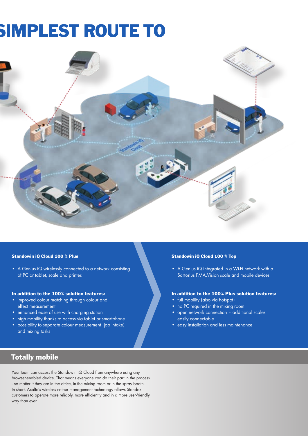# SIMPLEST ROUTE TO



#### Standowin iQ Cloud 100 % Plus

• A Genius iQ wirelessly connected to a network consisting of PC or tablet, scale and printer.

#### In addition to the 100% solution features:

- improved colour matching through colour and effect measurement
- enhanced ease of use with charging station
- high mobility thanks to access via tablet or smartphone
- possibility to separate colour measurement (job intake) and mixing tasks

#### Standowin iQ Cloud 100 % Top

• A Genius iQ integrated in a Wi-Fi network with a Sartorius PMA.Vision scale and mobile devices

#### In addition to the 100% Plus solution features:

- full mobility (also via hotspot)
- no PC required in the mixing room
- open network connection additional scales easily connectable
- easy installation and less maintenance

## Totally mobile

Your team can access the Standowin iQ Cloud from anywhere using any browser-enabled device. That means everyone can do their part in the process - no matter if they are in the office, in the mixing room or in the spray booth. In short, Axalta's wireless colour management technology allows Standox customers to operate more reliably, more efficiently and in a more user-friendly way than ever.